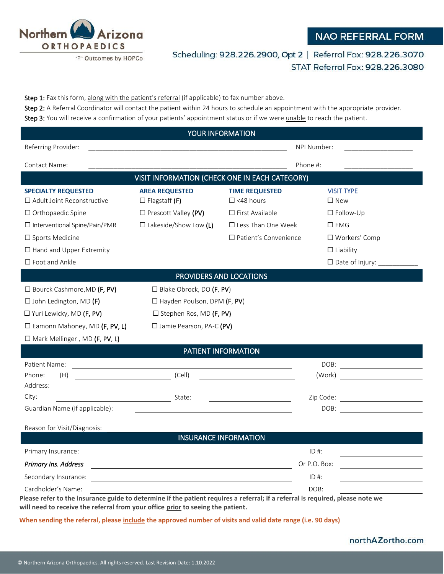

# **NAO REFERRAL FORM**

Scheduling: 928.226.2900, Opt 2 | Referral Fax: 928.226.3070 STAT Referral Fax: 928.226.3080

Step 1: Fax this form, along with the patient's referral (if applicable) to fax number above. Step 2: A Referral Coordinator will contact the patient within 24 hours to schedule an appointment with the appropriate provider.

Step 3: You will receive a confirmation of your patients' appointment status or if we were unable to reach the patient.

| YOUR INFORMATION                                                                                                                                                   |                                                                                                                                                                                                                                |                                                                                                     |                                |                                                                                                                      |
|--------------------------------------------------------------------------------------------------------------------------------------------------------------------|--------------------------------------------------------------------------------------------------------------------------------------------------------------------------------------------------------------------------------|-----------------------------------------------------------------------------------------------------|--------------------------------|----------------------------------------------------------------------------------------------------------------------|
| Referring Provider:                                                                                                                                                |                                                                                                                                                                                                                                |                                                                                                     | NPI Number:                    |                                                                                                                      |
| Contact Name:                                                                                                                                                      |                                                                                                                                                                                                                                |                                                                                                     | Phone #:                       |                                                                                                                      |
| VISIT INFORMATION (CHECK ONE IN EACH CATEGORY)                                                                                                                     |                                                                                                                                                                                                                                |                                                                                                     |                                |                                                                                                                      |
| <b>SPECIALTY REQUESTED</b><br>$\Box$ Adult Joint Reconstructive<br>□ Orthopaedic Spine<br>□ Interventional Spine/Pain/PMR                                          | <b>AREA REQUESTED</b><br>$\Box$ Flagstaff (F)<br>$\Box$ Prescott Valley (PV)<br>$\Box$ Lakeside/Show Low (L)                                                                                                                   | <b>TIME REQUESTED</b><br>$\Box$ <48 hours<br>$\square$ First Available<br>$\Box$ Less Than One Week | $\square$ New<br>$\square$ EMG | <b>VISIT TYPE</b><br>$\square$ Follow-Up                                                                             |
| □ Sports Medicine<br>□ Hand and Upper Extremity<br>$\square$ Foot and Ankle                                                                                        |                                                                                                                                                                                                                                | $\Box$ Patient's Convenience                                                                        |                                | $\Box$ Workers' Comp<br>$\Box$ Liability<br>$\Box$ Date of Injury:                                                   |
| PROVIDERS AND LOCATIONS                                                                                                                                            |                                                                                                                                                                                                                                |                                                                                                     |                                |                                                                                                                      |
| □ Bourck Cashmore, MD (F, PV)<br>$\Box$ John Ledington, MD (F)<br>□ Yuri Lewicky, MD (F, PV)<br>□ Eamonn Mahoney, MD (F, PV, L)<br>□ Mark Mellinger, MD (F, PV, L) | $\Box$ Blake Obrock, DO (F, PV)<br>$\Box$ Hayden Poulson, DPM (F, PV)<br>$\square$ Stephen Ros, MD (F, PV)<br>□ Jamie Pearson, PA-C (PV)                                                                                       |                                                                                                     |                                |                                                                                                                      |
| PATIENT INFORMATION                                                                                                                                                |                                                                                                                                                                                                                                |                                                                                                     |                                |                                                                                                                      |
| Patient Name:<br>Phone:<br>(H)<br>Address:                                                                                                                         | (Cell)                                                                                                                                                                                                                         |                                                                                                     | DOB:<br>(Work)                 | <u> 1980 - Jan Samuel Barbara, politik eta politik eta politik eta politik eta politik eta politik eta politik e</u> |
| City:<br>Guardian Name (if applicable):                                                                                                                            | State:                                                                                                                                                                                                                         |                                                                                                     | Zip Code:<br>DOB:              | <u> 1980 - Johann Barbara, martin a</u>                                                                              |
| Reason for Visit/Diagnosis:                                                                                                                                        |                                                                                                                                                                                                                                |                                                                                                     |                                |                                                                                                                      |
| <b>INSURANCE INFORMATION</b>                                                                                                                                       |                                                                                                                                                                                                                                |                                                                                                     |                                |                                                                                                                      |
| Primary Insurance:<br>Primary Ins. Address                                                                                                                         |                                                                                                                                                                                                                                |                                                                                                     | $ID#$ :<br>Or P.O. Box:        |                                                                                                                      |
| Secondary Insurance:<br>Cardholder's Name:                                                                                                                         | and the contract of the contract of the contract of the contract of the contract of the contract of the contract of the contract of the contract of the contract of the contract of the contract of the contract of the contra |                                                                                                     | $ID#$ :<br>DOB:                |                                                                                                                      |

**Please refer to the insurance guide to determine if the patient requires a referral; if a referral is required, please note we will need to receive the referral from your office prior to seeing the patient.** 

**When sending the referral, please include the approved number of visits and valid date range (i.e. 90 days)**

#### northAZortho.com